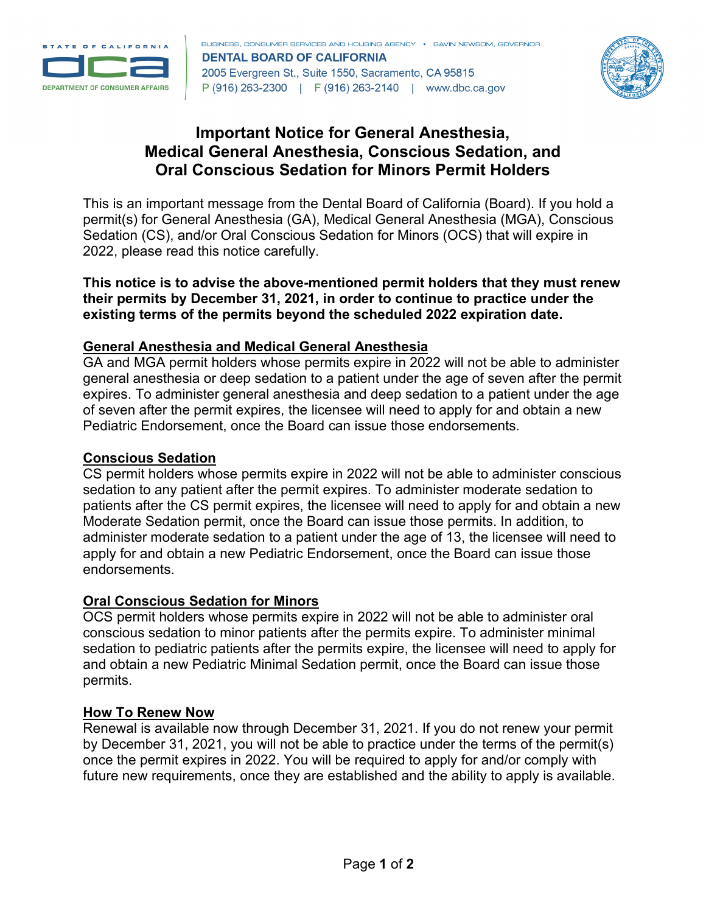



# **Important Notice for General Anesthesia, Medical General Anesthesia, Conscious Sedation, and Oral Conscious Sedation for Minors Permit Holders**

This is an important message from the Dental Board of California (Board). If you hold a permit(s) for General Anesthesia (GA), Medical General Anesthesia (MGA), Conscious Sedation (CS), and/or Oral Conscious Sedation for Minors (OCS) that will expire in 2022, please read this notice carefully.

**This notice is to advise the above-mentioned permit holders that they must renew their permits by December 31, 2021, in order to continue to practice under the existing terms of the permits beyond the scheduled 2022 expiration date.**

## **General Anesthesia and Medical General Anesthesia**

GA and MGA permit holders whose permits expire in 2022 will not be able to administer general anesthesia or deep sedation to a patient under the age of seven after the permit expires. To administer general anesthesia and deep sedation to a patient under the age of seven after the permit expires, the licensee will need to apply for and obtain a new Pediatric Endorsement, once the Board can issue those endorsements.

## **Conscious Sedation**

CS permit holders whose permits expire in 2022 will not be able to administer conscious sedation to any patient after the permit expires. To administer moderate sedation to patients after the CS permit expires, the licensee will need to apply for and obtain a new Moderate Sedation permit, once the Board can issue those permits. In addition, to administer moderate sedation to a patient under the age of 13, the licensee will need to apply for and obtain a new Pediatric Endorsement, once the Board can issue those endorsements.

## **Oral Conscious Sedation for Minors**

OCS permit holders whose permits expire in 2022 will not be able to administer oral conscious sedation to minor patients after the permits expire. To administer minimal sedation to pediatric patients after the permits expire, the licensee will need to apply for and obtain a new Pediatric Minimal Sedation permit, once the Board can issue those permits.

## **How To Renew Now**

Renewal is available now through December 31, 2021. If you do not renew your permit by December 31, 2021, you will not be able to practice under the terms of the permit(s) once the permit expires in 2022. You will be required to apply for and/or comply with future new requirements, once they are established and the ability to apply is available.